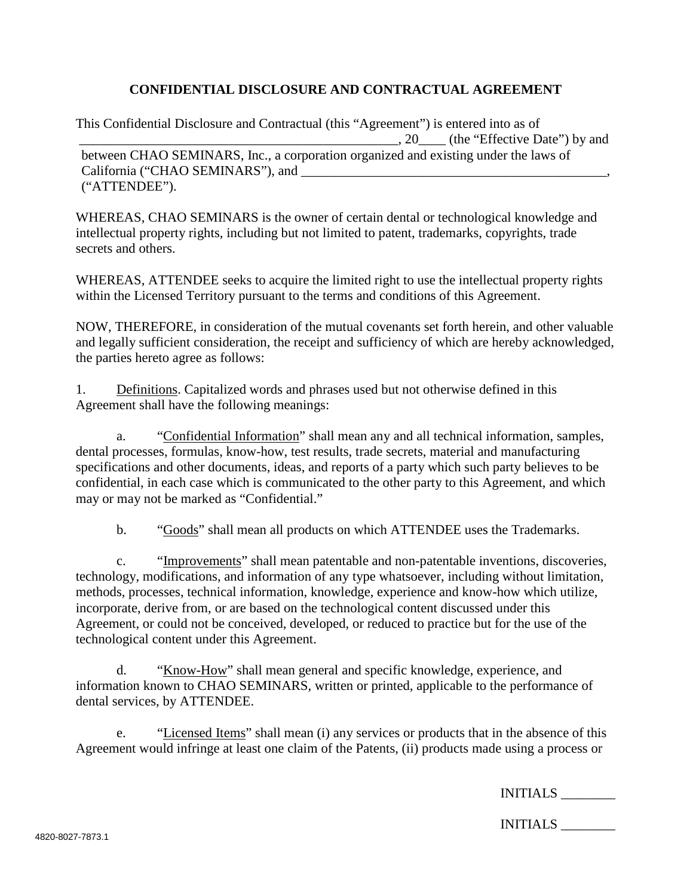## **CONFIDENTIAL DISCLOSURE AND CONTRACTUAL AGREEMENT**

This Confidential Disclosure and Contractual (this "Agreement") is entered into as of \_\_\_\_\_\_\_\_\_\_\_\_\_\_\_\_\_\_\_\_\_\_\_\_\_\_\_\_\_\_\_\_\_\_\_\_\_\_\_\_\_\_\_\_\_\_\_, 20\_\_\_\_ (the "Effective Date") by and between CHAO SEMINARS, Inc., a corporation organized and existing under the laws of California ("CHAO SEMINARS"), and ("ATTENDEE").

WHEREAS, CHAO SEMINARS is the owner of certain dental or technological knowledge and intellectual property rights, including but not limited to patent, trademarks, copyrights, trade secrets and others.

WHEREAS, ATTENDEE seeks to acquire the limited right to use the intellectual property rights within the Licensed Territory pursuant to the terms and conditions of this Agreement.

NOW, THEREFORE, in consideration of the mutual covenants set forth herein, and other valuable and legally sufficient consideration, the receipt and sufficiency of which are hereby acknowledged, the parties hereto agree as follows:

1. Definitions. Capitalized words and phrases used but not otherwise defined in this Agreement shall have the following meanings:

a. "Confidential Information" shall mean any and all technical information, samples, dental processes, formulas, know-how, test results, trade secrets, material and manufacturing specifications and other documents, ideas, and reports of a party which such party believes to be confidential, in each case which is communicated to the other party to this Agreement, and which may or may not be marked as "Confidential."

b. "Goods" shall mean all products on which ATTENDEE uses the Trademarks.

c. "Improvements" shall mean patentable and non-patentable inventions, discoveries, technology, modifications, and information of any type whatsoever, including without limitation, methods, processes, technical information, knowledge, experience and know-how which utilize, incorporate, derive from, or are based on the technological content discussed under this Agreement, or could not be conceived, developed, or reduced to practice but for the use of the technological content under this Agreement.

d. "Know-How" shall mean general and specific knowledge, experience, and information known to CHAO SEMINARS, written or printed, applicable to the performance of dental services, by ATTENDEE.

e. "Licensed Items" shall mean (i) any services or products that in the absence of this Agreement would infringe at least one claim of the Patents, (ii) products made using a process or

INITIALS \_\_\_\_\_\_\_\_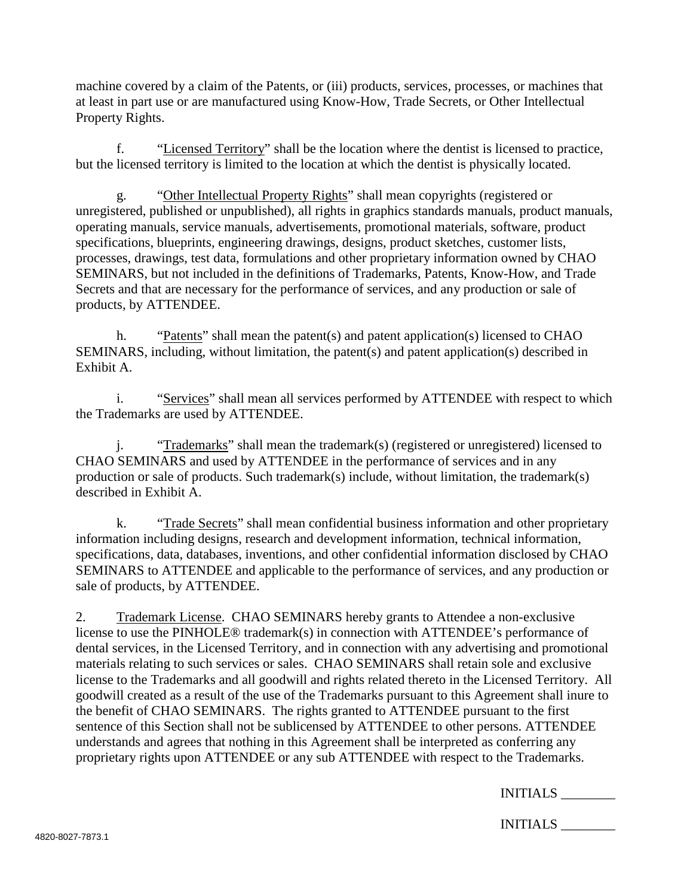machine covered by a claim of the Patents, or (iii) products, services, processes, or machines that at least in part use or are manufactured using Know-How, Trade Secrets, or Other Intellectual Property Rights.

f. "Licensed Territory" shall be the location where the dentist is licensed to practice, but the licensed territory is limited to the location at which the dentist is physically located.

g. "Other Intellectual Property Rights" shall mean copyrights (registered or unregistered, published or unpublished), all rights in graphics standards manuals, product manuals, operating manuals, service manuals, advertisements, promotional materials, software, product specifications, blueprints, engineering drawings, designs, product sketches, customer lists, processes, drawings, test data, formulations and other proprietary information owned by CHAO SEMINARS, but not included in the definitions of Trademarks, Patents, Know-How, and Trade Secrets and that are necessary for the performance of services, and any production or sale of products, by ATTENDEE.

h. "Patents" shall mean the patent(s) and patent application(s) licensed to CHAO SEMINARS, including, without limitation, the patent(s) and patent application(s) described in Exhibit A.

i. "Services" shall mean all services performed by ATTENDEE with respect to which the Trademarks are used by ATTENDEE.

j. "Trademarks" shall mean the trademark(s) (registered or unregistered) licensed to CHAO SEMINARS and used by ATTENDEE in the performance of services and in any production or sale of products. Such trademark(s) include, without limitation, the trademark(s) described in Exhibit A.

k. "Trade Secrets" shall mean confidential business information and other proprietary information including designs, research and development information, technical information, specifications, data, databases, inventions, and other confidential information disclosed by CHAO SEMINARS to ATTENDEE and applicable to the performance of services, and any production or sale of products, by ATTENDEE.

2. Trademark License. CHAO SEMINARS hereby grants to Attendee a non-exclusive license to use the PINHOLE® trademark(s) in connection with ATTENDEE's performance of dental services, in the Licensed Territory, and in connection with any advertising and promotional materials relating to such services or sales. CHAO SEMINARS shall retain sole and exclusive license to the Trademarks and all goodwill and rights related thereto in the Licensed Territory. All goodwill created as a result of the use of the Trademarks pursuant to this Agreement shall inure to the benefit of CHAO SEMINARS. The rights granted to ATTENDEE pursuant to the first sentence of this Section shall not be sublicensed by ATTENDEE to other persons. ATTENDEE understands and agrees that nothing in this Agreement shall be interpreted as conferring any proprietary rights upon ATTENDEE or any sub ATTENDEE with respect to the Trademarks.

| INITIALS |  |
|----------|--|
|----------|--|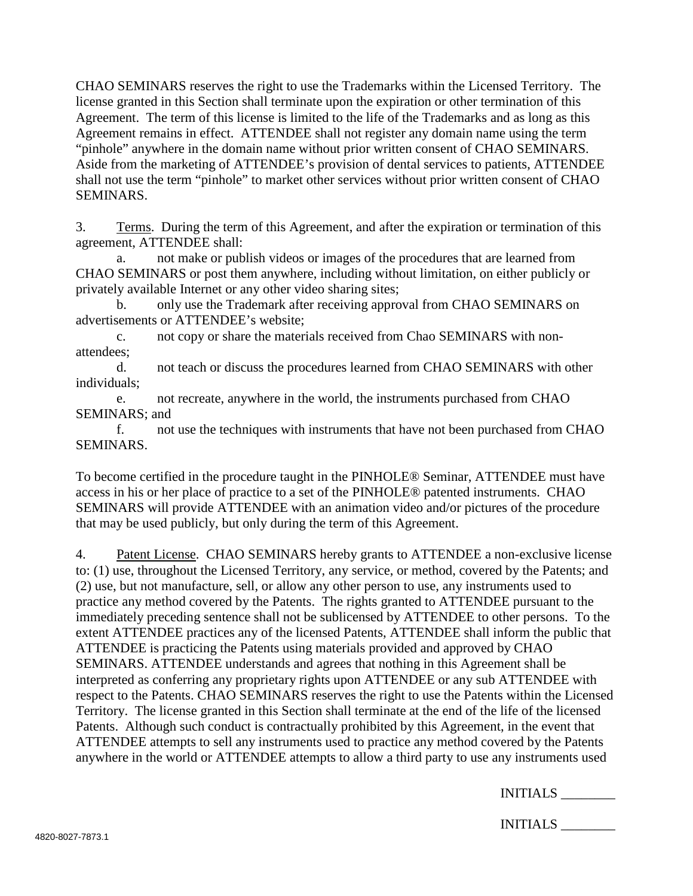CHAO SEMINARS reserves the right to use the Trademarks within the Licensed Territory. The license granted in this Section shall terminate upon the expiration or other termination of this Agreement. The term of this license is limited to the life of the Trademarks and as long as this Agreement remains in effect. ATTENDEE shall not register any domain name using the term "pinhole" anywhere in the domain name without prior written consent of CHAO SEMINARS. Aside from the marketing of ATTENDEE's provision of dental services to patients, ATTENDEE shall not use the term "pinhole" to market other services without prior written consent of CHAO SEMINARS.

3. Terms. During the term of this Agreement, and after the expiration or termination of this agreement, ATTENDEE shall:

a. not make or publish videos or images of the procedures that are learned from CHAO SEMINARS or post them anywhere, including without limitation, on either publicly or privately available Internet or any other video sharing sites;

b. only use the Trademark after receiving approval from CHAO SEMINARS on advertisements or ATTENDEE's website;

c. not copy or share the materials received from Chao SEMINARS with nonattendees;

d. not teach or discuss the procedures learned from CHAO SEMINARS with other individuals;

e. not recreate, anywhere in the world, the instruments purchased from CHAO SEMINARS; and

f. not use the techniques with instruments that have not been purchased from CHAO SEMINARS.

To become certified in the procedure taught in the PINHOLE® Seminar, ATTENDEE must have access in his or her place of practice to a set of the PINHOLE® patented instruments. CHAO SEMINARS will provide ATTENDEE with an animation video and/or pictures of the procedure that may be used publicly, but only during the term of this Agreement.

4. Patent License. CHAO SEMINARS hereby grants to ATTENDEE a non-exclusive license to: (1) use, throughout the Licensed Territory, any service, or method, covered by the Patents; and (2) use, but not manufacture, sell, or allow any other person to use, any instruments used to practice any method covered by the Patents. The rights granted to ATTENDEE pursuant to the immediately preceding sentence shall not be sublicensed by ATTENDEE to other persons. To the extent ATTENDEE practices any of the licensed Patents, ATTENDEE shall inform the public that ATTENDEE is practicing the Patents using materials provided and approved by CHAO SEMINARS. ATTENDEE understands and agrees that nothing in this Agreement shall be interpreted as conferring any proprietary rights upon ATTENDEE or any sub ATTENDEE with respect to the Patents. CHAO SEMINARS reserves the right to use the Patents within the Licensed Territory. The license granted in this Section shall terminate at the end of the life of the licensed Patents. Although such conduct is contractually prohibited by this Agreement, in the event that ATTENDEE attempts to sell any instruments used to practice any method covered by the Patents anywhere in the world or ATTENDEE attempts to allow a third party to use any instruments used

INITIALS \_\_\_\_\_\_\_\_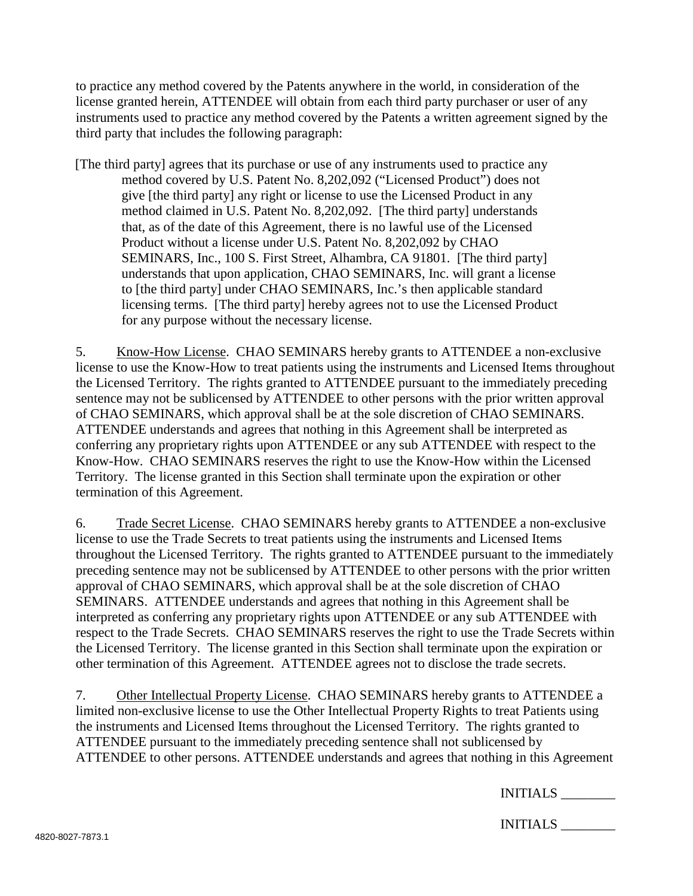to practice any method covered by the Patents anywhere in the world, in consideration of the license granted herein, ATTENDEE will obtain from each third party purchaser or user of any instruments used to practice any method covered by the Patents a written agreement signed by the third party that includes the following paragraph:

[The third party] agrees that its purchase or use of any instruments used to practice any method covered by U.S. Patent No. 8,202,092 ("Licensed Product") does not give [the third party] any right or license to use the Licensed Product in any method claimed in U.S. Patent No. 8,202,092. [The third party] understands that, as of the date of this Agreement, there is no lawful use of the Licensed Product without a license under U.S. Patent No. 8,202,092 by CHAO SEMINARS, Inc., 100 S. First Street, Alhambra, CA 91801. [The third party] understands that upon application, CHAO SEMINARS, Inc. will grant a license to [the third party] under CHAO SEMINARS, Inc.'s then applicable standard licensing terms. [The third party] hereby agrees not to use the Licensed Product for any purpose without the necessary license.

5. Know-How License. CHAO SEMINARS hereby grants to ATTENDEE a non-exclusive license to use the Know-How to treat patients using the instruments and Licensed Items throughout the Licensed Territory. The rights granted to ATTENDEE pursuant to the immediately preceding sentence may not be sublicensed by ATTENDEE to other persons with the prior written approval of CHAO SEMINARS, which approval shall be at the sole discretion of CHAO SEMINARS. ATTENDEE understands and agrees that nothing in this Agreement shall be interpreted as conferring any proprietary rights upon ATTENDEE or any sub ATTENDEE with respect to the Know-How. CHAO SEMINARS reserves the right to use the Know-How within the Licensed Territory. The license granted in this Section shall terminate upon the expiration or other termination of this Agreement.

6. Trade Secret License. CHAO SEMINARS hereby grants to ATTENDEE a non-exclusive license to use the Trade Secrets to treat patients using the instruments and Licensed Items throughout the Licensed Territory. The rights granted to ATTENDEE pursuant to the immediately preceding sentence may not be sublicensed by ATTENDEE to other persons with the prior written approval of CHAO SEMINARS, which approval shall be at the sole discretion of CHAO SEMINARS. ATTENDEE understands and agrees that nothing in this Agreement shall be interpreted as conferring any proprietary rights upon ATTENDEE or any sub ATTENDEE with respect to the Trade Secrets. CHAO SEMINARS reserves the right to use the Trade Secrets within the Licensed Territory. The license granted in this Section shall terminate upon the expiration or other termination of this Agreement. ATTENDEE agrees not to disclose the trade secrets.

7. Other Intellectual Property License. CHAO SEMINARS hereby grants to ATTENDEE a limited non-exclusive license to use the Other Intellectual Property Rights to treat Patients using the instruments and Licensed Items throughout the Licensed Territory. The rights granted to ATTENDEE pursuant to the immediately preceding sentence shall not sublicensed by ATTENDEE to other persons. ATTENDEE understands and agrees that nothing in this Agreement

| <b>INITIALS</b> |  |
|-----------------|--|
|-----------------|--|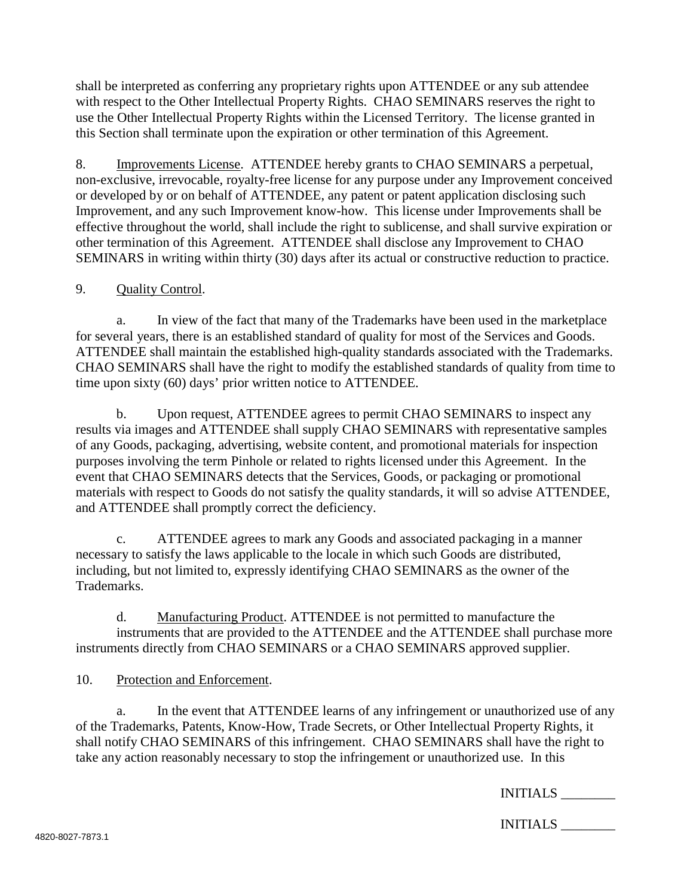shall be interpreted as conferring any proprietary rights upon ATTENDEE or any sub attendee with respect to the Other Intellectual Property Rights. CHAO SEMINARS reserves the right to use the Other Intellectual Property Rights within the Licensed Territory. The license granted in this Section shall terminate upon the expiration or other termination of this Agreement.

8. Improvements License. ATTENDEE hereby grants to CHAO SEMINARS a perpetual, non-exclusive, irrevocable, royalty-free license for any purpose under any Improvement conceived or developed by or on behalf of ATTENDEE, any patent or patent application disclosing such Improvement, and any such Improvement know-how. This license under Improvements shall be effective throughout the world, shall include the right to sublicense, and shall survive expiration or other termination of this Agreement. ATTENDEE shall disclose any Improvement to CHAO SEMINARS in writing within thirty (30) days after its actual or constructive reduction to practice.

### 9. Quality Control.

a. In view of the fact that many of the Trademarks have been used in the marketplace for several years, there is an established standard of quality for most of the Services and Goods. ATTENDEE shall maintain the established high-quality standards associated with the Trademarks. CHAO SEMINARS shall have the right to modify the established standards of quality from time to time upon sixty (60) days' prior written notice to ATTENDEE.

b. Upon request, ATTENDEE agrees to permit CHAO SEMINARS to inspect any results via images and ATTENDEE shall supply CHAO SEMINARS with representative samples of any Goods, packaging, advertising, website content, and promotional materials for inspection purposes involving the term Pinhole or related to rights licensed under this Agreement. In the event that CHAO SEMINARS detects that the Services, Goods, or packaging or promotional materials with respect to Goods do not satisfy the quality standards, it will so advise ATTENDEE, and ATTENDEE shall promptly correct the deficiency.

c. ATTENDEE agrees to mark any Goods and associated packaging in a manner necessary to satisfy the laws applicable to the locale in which such Goods are distributed, including, but not limited to, expressly identifying CHAO SEMINARS as the owner of the Trademarks.

d. Manufacturing Product. ATTENDEE is not permitted to manufacture the instruments that are provided to the ATTENDEE and the ATTENDEE shall purchase more instruments directly from CHAO SEMINARS or a CHAO SEMINARS approved supplier.

#### 10. Protection and Enforcement.

a. In the event that ATTENDEE learns of any infringement or unauthorized use of any of the Trademarks, Patents, Know-How, Trade Secrets, or Other Intellectual Property Rights, it shall notify CHAO SEMINARS of this infringement. CHAO SEMINARS shall have the right to take any action reasonably necessary to stop the infringement or unauthorized use. In this

INITIALS \_\_\_\_\_\_\_\_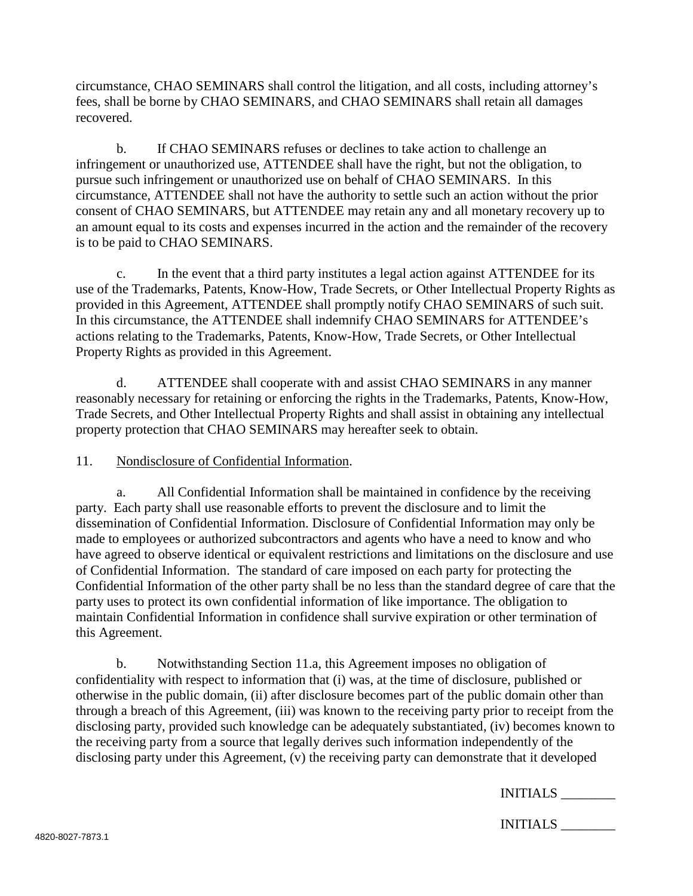circumstance, CHAO SEMINARS shall control the litigation, and all costs, including attorney's fees, shall be borne by CHAO SEMINARS, and CHAO SEMINARS shall retain all damages recovered.

b. If CHAO SEMINARS refuses or declines to take action to challenge an infringement or unauthorized use, ATTENDEE shall have the right, but not the obligation, to pursue such infringement or unauthorized use on behalf of CHAO SEMINARS. In this circumstance, ATTENDEE shall not have the authority to settle such an action without the prior consent of CHAO SEMINARS, but ATTENDEE may retain any and all monetary recovery up to an amount equal to its costs and expenses incurred in the action and the remainder of the recovery is to be paid to CHAO SEMINARS.

c. In the event that a third party institutes a legal action against ATTENDEE for its use of the Trademarks, Patents, Know-How, Trade Secrets, or Other Intellectual Property Rights as provided in this Agreement, ATTENDEE shall promptly notify CHAO SEMINARS of such suit. In this circumstance, the ATTENDEE shall indemnify CHAO SEMINARS for ATTENDEE's actions relating to the Trademarks, Patents, Know-How, Trade Secrets, or Other Intellectual Property Rights as provided in this Agreement.

d. ATTENDEE shall cooperate with and assist CHAO SEMINARS in any manner reasonably necessary for retaining or enforcing the rights in the Trademarks, Patents, Know-How, Trade Secrets, and Other Intellectual Property Rights and shall assist in obtaining any intellectual property protection that CHAO SEMINARS may hereafter seek to obtain.

11. Nondisclosure of Confidential Information.

a. All Confidential Information shall be maintained in confidence by the receiving party. Each party shall use reasonable efforts to prevent the disclosure and to limit the dissemination of Confidential Information. Disclosure of Confidential Information may only be made to employees or authorized subcontractors and agents who have a need to know and who have agreed to observe identical or equivalent restrictions and limitations on the disclosure and use of Confidential Information. The standard of care imposed on each party for protecting the Confidential Information of the other party shall be no less than the standard degree of care that the party uses to protect its own confidential information of like importance. The obligation to maintain Confidential Information in confidence shall survive expiration or other termination of this Agreement.

b. Notwithstanding Section 11.a, this Agreement imposes no obligation of confidentiality with respect to information that (i) was, at the time of disclosure, published or otherwise in the public domain, (ii) after disclosure becomes part of the public domain other than through a breach of this Agreement, (iii) was known to the receiving party prior to receipt from the disclosing party, provided such knowledge can be adequately substantiated, (iv) becomes known to the receiving party from a source that legally derives such information independently of the disclosing party under this Agreement, (v) the receiving party can demonstrate that it developed

| INITIALS |  |
|----------|--|
|----------|--|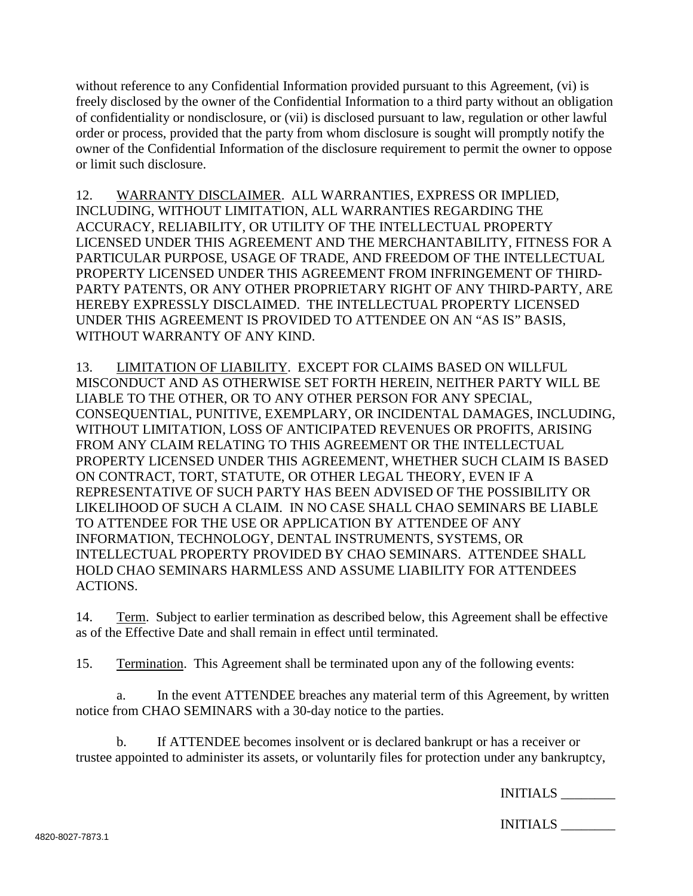without reference to any Confidential Information provided pursuant to this Agreement, (vi) is freely disclosed by the owner of the Confidential Information to a third party without an obligation of confidentiality or nondisclosure, or (vii) is disclosed pursuant to law, regulation or other lawful order or process, provided that the party from whom disclosure is sought will promptly notify the owner of the Confidential Information of the disclosure requirement to permit the owner to oppose or limit such disclosure.

12. WARRANTY DISCLAIMER. ALL WARRANTIES, EXPRESS OR IMPLIED, INCLUDING, WITHOUT LIMITATION, ALL WARRANTIES REGARDING THE ACCURACY, RELIABILITY, OR UTILITY OF THE INTELLECTUAL PROPERTY LICENSED UNDER THIS AGREEMENT AND THE MERCHANTABILITY, FITNESS FOR A PARTICULAR PURPOSE, USAGE OF TRADE, AND FREEDOM OF THE INTELLECTUAL PROPERTY LICENSED UNDER THIS AGREEMENT FROM INFRINGEMENT OF THIRD-PARTY PATENTS, OR ANY OTHER PROPRIETARY RIGHT OF ANY THIRD-PARTY, ARE HEREBY EXPRESSLY DISCLAIMED. THE INTELLECTUAL PROPERTY LICENSED UNDER THIS AGREEMENT IS PROVIDED TO ATTENDEE ON AN "AS IS" BASIS, WITHOUT WARRANTY OF ANY KIND.

13. LIMITATION OF LIABILITY. EXCEPT FOR CLAIMS BASED ON WILLFUL MISCONDUCT AND AS OTHERWISE SET FORTH HEREIN, NEITHER PARTY WILL BE LIABLE TO THE OTHER, OR TO ANY OTHER PERSON FOR ANY SPECIAL, CONSEQUENTIAL, PUNITIVE, EXEMPLARY, OR INCIDENTAL DAMAGES, INCLUDING, WITHOUT LIMITATION, LOSS OF ANTICIPATED REVENUES OR PROFITS, ARISING FROM ANY CLAIM RELATING TO THIS AGREEMENT OR THE INTELLECTUAL PROPERTY LICENSED UNDER THIS AGREEMENT, WHETHER SUCH CLAIM IS BASED ON CONTRACT, TORT, STATUTE, OR OTHER LEGAL THEORY, EVEN IF A REPRESENTATIVE OF SUCH PARTY HAS BEEN ADVISED OF THE POSSIBILITY OR LIKELIHOOD OF SUCH A CLAIM. IN NO CASE SHALL CHAO SEMINARS BE LIABLE TO ATTENDEE FOR THE USE OR APPLICATION BY ATTENDEE OF ANY INFORMATION, TECHNOLOGY, DENTAL INSTRUMENTS, SYSTEMS, OR INTELLECTUAL PROPERTY PROVIDED BY CHAO SEMINARS. ATTENDEE SHALL HOLD CHAO SEMINARS HARMLESS AND ASSUME LIABILITY FOR ATTENDEES ACTIONS.

14. Term. Subject to earlier termination as described below, this Agreement shall be effective as of the Effective Date and shall remain in effect until terminated.

15. Termination. This Agreement shall be terminated upon any of the following events:

a. In the event ATTENDEE breaches any material term of this Agreement, by written notice from CHAO SEMINARS with a 30-day notice to the parties.

b. If ATTENDEE becomes insolvent or is declared bankrupt or has a receiver or trustee appointed to administer its assets, or voluntarily files for protection under any bankruptcy,

INITIALS \_\_\_\_\_\_\_\_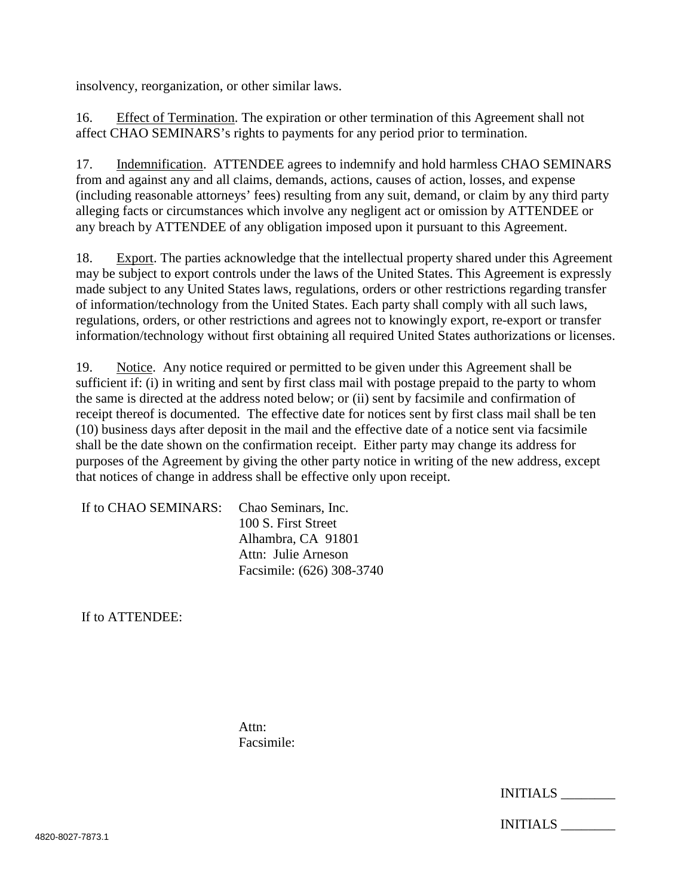insolvency, reorganization, or other similar laws.

16. Effect of Termination. The expiration or other termination of this Agreement shall not affect CHAO SEMINARS's rights to payments for any period prior to termination.

17. Indemnification. ATTENDEE agrees to indemnify and hold harmless CHAO SEMINARS from and against any and all claims, demands, actions, causes of action, losses, and expense (including reasonable attorneys' fees) resulting from any suit, demand, or claim by any third party alleging facts or circumstances which involve any negligent act or omission by ATTENDEE or any breach by ATTENDEE of any obligation imposed upon it pursuant to this Agreement.

18. Export. The parties acknowledge that the intellectual property shared under this Agreement may be subject to export controls under the laws of the United States. This Agreement is expressly made subject to any United States laws, regulations, orders or other restrictions regarding transfer of information/technology from the United States. Each party shall comply with all such laws, regulations, orders, or other restrictions and agrees not to knowingly export, re-export or transfer information/technology without first obtaining all required United States authorizations or licenses.

19. Notice. Any notice required or permitted to be given under this Agreement shall be sufficient if: (i) in writing and sent by first class mail with postage prepaid to the party to whom the same is directed at the address noted below; or (ii) sent by facsimile and confirmation of receipt thereof is documented. The effective date for notices sent by first class mail shall be ten (10) business days after deposit in the mail and the effective date of a notice sent via facsimile shall be the date shown on the confirmation receipt. Either party may change its address for purposes of the Agreement by giving the other party notice in writing of the new address, except that notices of change in address shall be effective only upon receipt.

| If to CHAO SEMINARS: Chao Seminars, Inc. |                           |
|------------------------------------------|---------------------------|
|                                          | 100 S. First Street       |
|                                          | Alhambra, CA 91801        |
|                                          | Attn: Julie Arneson       |
|                                          | Facsimile: (626) 308-3740 |

If to ATTENDEE:

Attn: Facsimile: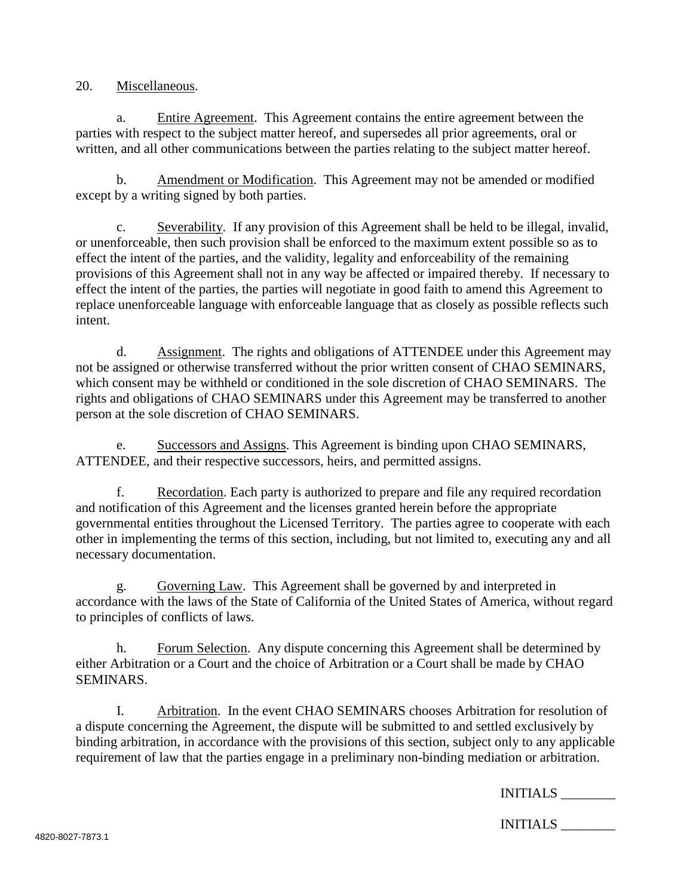20. Miscellaneous.

a. Entire Agreement. This Agreement contains the entire agreement between the parties with respect to the subject matter hereof, and supersedes all prior agreements, oral or written, and all other communications between the parties relating to the subject matter hereof.

b. Amendment or Modification. This Agreement may not be amended or modified except by a writing signed by both parties.

c. Severability. If any provision of this Agreement shall be held to be illegal, invalid, or unenforceable, then such provision shall be enforced to the maximum extent possible so as to effect the intent of the parties, and the validity, legality and enforceability of the remaining provisions of this Agreement shall not in any way be affected or impaired thereby. If necessary to effect the intent of the parties, the parties will negotiate in good faith to amend this Agreement to replace unenforceable language with enforceable language that as closely as possible reflects such intent.

d. Assignment. The rights and obligations of ATTENDEE under this Agreement may not be assigned or otherwise transferred without the prior written consent of CHAO SEMINARS, which consent may be withheld or conditioned in the sole discretion of CHAO SEMINARS. The rights and obligations of CHAO SEMINARS under this Agreement may be transferred to another person at the sole discretion of CHAO SEMINARS.

e. Successors and Assigns. This Agreement is binding upon CHAO SEMINARS, ATTENDEE, and their respective successors, heirs, and permitted assigns.

f. Recordation. Each party is authorized to prepare and file any required recordation and notification of this Agreement and the licenses granted herein before the appropriate governmental entities throughout the Licensed Territory. The parties agree to cooperate with each other in implementing the terms of this section, including, but not limited to, executing any and all necessary documentation.

g. Governing Law. This Agreement shall be governed by and interpreted in accordance with the laws of the State of California of the United States of America, without regard to principles of conflicts of laws.

h. Forum Selection. Any dispute concerning this Agreement shall be determined by either Arbitration or a Court and the choice of Arbitration or a Court shall be made by CHAO SEMINARS.

I. Arbitration. In the event CHAO SEMINARS chooses Arbitration for resolution of a dispute concerning the Agreement, the dispute will be submitted to and settled exclusively by binding arbitration, in accordance with the provisions of this section, subject only to any applicable requirement of law that the parties engage in a preliminary non-binding mediation or arbitration.

INITIALS \_\_\_\_\_\_\_\_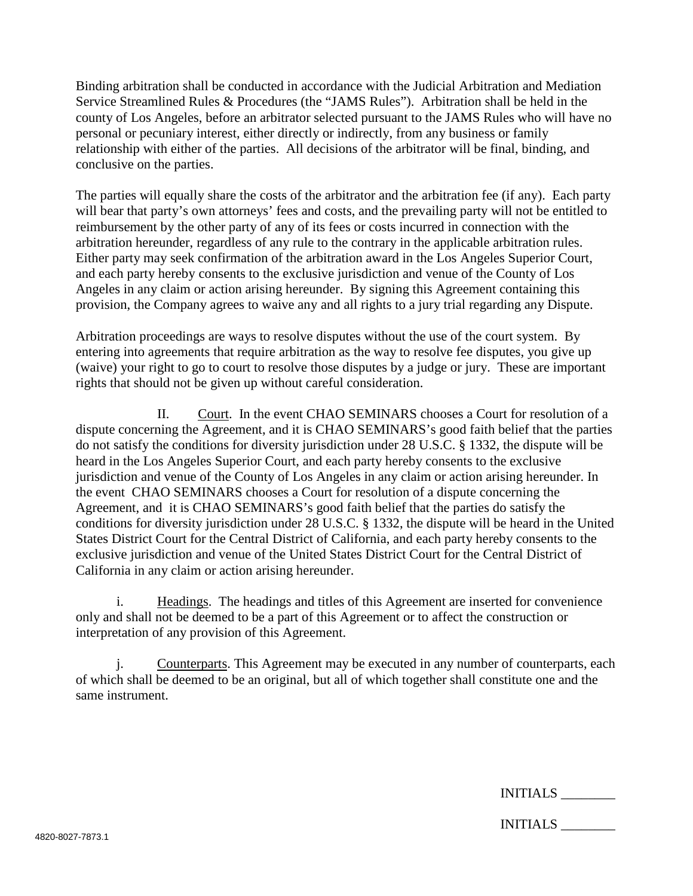Binding arbitration shall be conducted in accordance with the Judicial Arbitration and Mediation Service Streamlined Rules & Procedures (the "JAMS Rules"). Arbitration shall be held in the county of Los Angeles, before an arbitrator selected pursuant to the JAMS Rules who will have no personal or pecuniary interest, either directly or indirectly, from any business or family relationship with either of the parties. All decisions of the arbitrator will be final, binding, and conclusive on the parties.

The parties will equally share the costs of the arbitrator and the arbitration fee (if any). Each party will bear that party's own attorneys' fees and costs, and the prevailing party will not be entitled to reimbursement by the other party of any of its fees or costs incurred in connection with the arbitration hereunder, regardless of any rule to the contrary in the applicable arbitration rules. Either party may seek confirmation of the arbitration award in the Los Angeles Superior Court, and each party hereby consents to the exclusive jurisdiction and venue of the County of Los Angeles in any claim or action arising hereunder. By signing this Agreement containing this provision, the Company agrees to waive any and all rights to a jury trial regarding any Dispute.

Arbitration proceedings are ways to resolve disputes without the use of the court system. By entering into agreements that require arbitration as the way to resolve fee disputes, you give up (waive) your right to go to court to resolve those disputes by a judge or jury. These are important rights that should not be given up without careful consideration.

II. Court. In the event CHAO SEMINARS chooses a Court for resolution of a dispute concerning the Agreement, and it is CHAO SEMINARS's good faith belief that the parties do not satisfy the conditions for diversity jurisdiction under 28 U.S.C. § 1332, the dispute will be heard in the Los Angeles Superior Court, and each party hereby consents to the exclusive jurisdiction and venue of the County of Los Angeles in any claim or action arising hereunder. In the event CHAO SEMINARS chooses a Court for resolution of a dispute concerning the Agreement, and it is CHAO SEMINARS's good faith belief that the parties do satisfy the conditions for diversity jurisdiction under 28 U.S.C. § 1332, the dispute will be heard in the United States District Court for the Central District of California, and each party hereby consents to the exclusive jurisdiction and venue of the United States District Court for the Central District of California in any claim or action arising hereunder.

i. Headings. The headings and titles of this Agreement are inserted for convenience only and shall not be deemed to be a part of this Agreement or to affect the construction or interpretation of any provision of this Agreement.

Counterparts. This Agreement may be executed in any number of counterparts, each of which shall be deemed to be an original, but all of which together shall constitute one and the same instrument.

| INITIALS |  |
|----------|--|
|----------|--|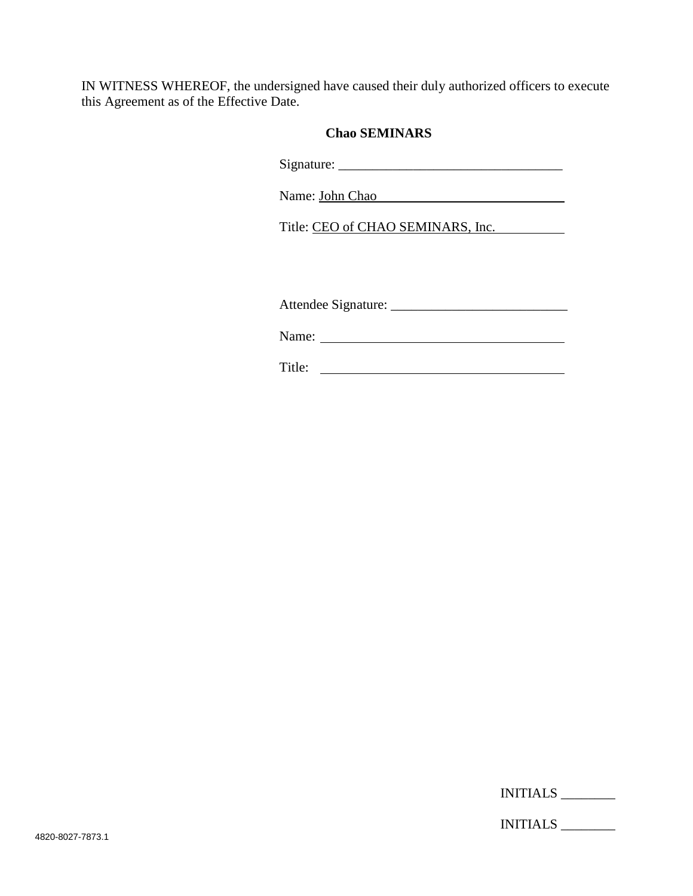IN WITNESS WHEREOF, the undersigned have caused their duly authorized officers to execute this Agreement as of the Effective Date.

## **Chao SEMINARS**

Signature: \_\_\_\_\_\_\_\_\_\_\_\_\_\_\_\_\_\_\_\_\_\_\_\_\_\_\_\_\_\_\_\_\_

Name: John Chao

Title: CEO of CHAO SEMINARS, Inc.

Attendee Signature: \_\_\_\_\_\_\_\_\_\_\_\_\_\_\_\_\_\_\_\_\_\_\_\_\_\_

Name:

Title: